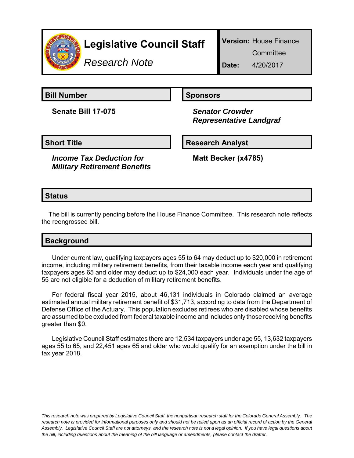

# **Legislative Council Staff**

*Research Note*

**Version:** House Finance

**Committee** 

**Date:** 4/20/2017

**Bill Number Sponsors** 

**Senate Bill 17-075** *Senator Crowder*

 *Representative Landgraf*

#### **Short Title Community Community Community Research Analyst**

*Income Tax Deduction for Military Retirement Benefits*

**Matt Becker (x4785)**

### **Status**

The bill is currently pending before the House Finance Committee. This research note reflects the reengrossed bill.

## **Background**

Under current law, qualifying taxpayers ages 55 to 64 may deduct up to \$20,000 in retirement income, including military retirement benefits, from their taxable income each year and qualifying taxpayers ages 65 and older may deduct up to \$24,000 each year. Individuals under the age of 55 are not eligible for a deduction of military retirement benefits.

For federal fiscal year 2015, about 46,131 individuals in Colorado claimed an average estimated annual military retirement benefit of \$31,713, according to data from the Department of Defense Office of the Actuary. This population excludes retirees who are disabled whose benefits are assumed to be excluded from federal taxable income and includes only those receiving benefits greater than \$0.

Legislative Council Staff estimates there are 12,534 taxpayers under age 55, 13,632 taxpayers ages 55 to 65, and 22,451 ages 65 and older who would qualify for an exemption under the bill in tax year 2018.

*This research note was prepared by Legislative Council Staff, the nonpartisan research staff for the Colorado General Assembly. The research note is provided for informational purposes only and should not be relied upon as an official record of action by the General Assembly. Legislative Council Staff are not attorneys, and the research note is not a legal opinion. If you have legal questions about the bill, including questions about the meaning of the bill language or amendments, please contact the drafter.*